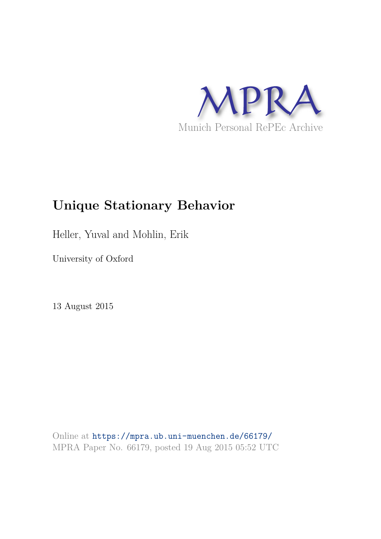

# **Unique Stationary Behavior**

Heller, Yuval and Mohlin, Erik

University of Oxford

13 August 2015

Online at https://mpra.ub.uni-muenchen.de/66179/ MPRA Paper No. 66179, posted 19 Aug 2015 05:52 UTC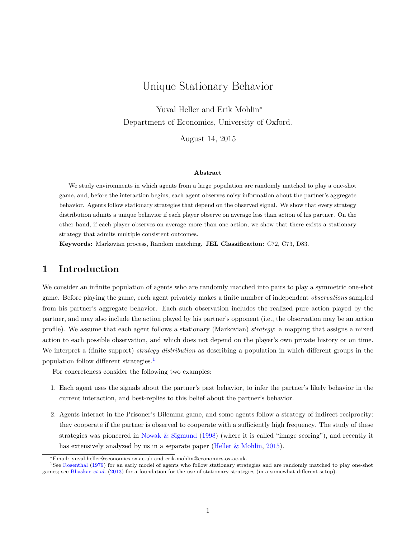# Unique Stationary Behavior

Yuval Heller and Erik Mohlin<sup>∗</sup> Department of Economics, University of Oxford.

August 14, 2015

#### **Abstract**

We study environments in which agents from a large population are randomly matched to play a one-shot game, and, before the interaction begins, each agent observes noisy information about the partner's aggregate behavior. Agents follow stationary strategies that depend on the observed signal. We show that every strategy distribution admits a unique behavior if each player observe on average less than action of his partner. On the other hand, if each player observes on average more than one action, we show that there exists a stationary strategy that admits multiple consistent outcomes.

**Keywords:** Markovian process, Random matching. **JEL Classification:** C72, C73, D83.

## **1 Introduction**

We consider an infinite population of agents who are randomly matched into pairs to play a symmetric one-shot game. Before playing the game, each agent privately makes a finite number of independent *observations* sampled from his partner's aggregate behavior. Each such observation includes the realized pure action played by the partner, and may also include the action played by his partner's opponent (i.e., the observation may be an action profile). We assume that each agent follows a stationary (Markovian) *strategy*: a mapping that assigns a mixed action to each possible observation, and which does not depend on the player's own private history or on time. We interpret a (finite support) *strategy distribution* as describing a population in which different groups in the population follow different strategies.<sup>1</sup>

For concreteness consider the following two examples:

- 1. Each agent uses the signals about the partner's past behavior, to infer the partner's likely behavior in the current interaction, and best-replies to this belief about the partner's behavior.
- 2. Agents interact in the Prisoner's Dilemma game, and some agents follow a strategy of indirect reciprocity: they cooperate if the partner is observed to cooperate with a sufficiently high frequency. The study of these strategies was pioneered in Nowak & Sigmund (1998) (where it is called "image scoring"), and recently it has extensively analyzed by us in a separate paper (Heller & Mohlin, 2015).

<sup>∗</sup>Email: yuval.heller@economics.ox.ac.uk and erik.mohlin@economics.ox.ac.uk.

<sup>1</sup>See Rosenthal (1979) for an early model of agents who follow stationary strategies and are randomly matched to play one-shot games; see Bhaskar *et al.* (2013) for a foundation for the use of stationary strategies (in a somewhat different setup).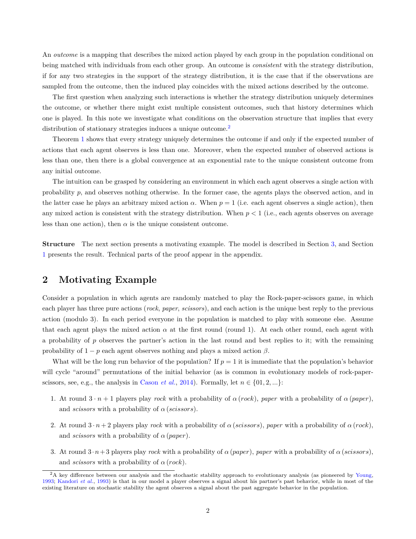An *outcome* is a mapping that describes the mixed action played by each group in the population conditional on being matched with individuals from each other group. An outcome is *consistent* with the strategy distribution, if for any two strategies in the support of the strategy distribution, it is the case that if the observations are sampled from the outcome, then the induced play coincides with the mixed actions described by the outcome.

The first question when analyzing such interactions is whether the strategy distribution uniquely determines the outcome, or whether there might exist multiple consistent outcomes, such that history determines which one is played. In this note we investigate what conditions on the observation structure that implies that every distribution of stationary strategies induces a unique outcome.<sup>2</sup>

Theorem 1 shows that every strategy uniquely determines the outcome if and only if the expected number of actions that each agent observes is less than one. Moreover, when the expected number of observed actions is less than one, then there is a global convergence at an exponential rate to the unique consistent outcome from any initial outcome.

The intuition can be grasped by considering an environment in which each agent observes a single action with probability *p*, and observes nothing otherwise. In the former case, the agents plays the observed action, and in the latter case he plays an arbitrary mixed action  $\alpha$ . When  $p = 1$  (i.e. each agent observes a single action), then any mixed action is consistent with the strategy distribution. When  $p < 1$  (i.e., each agents observes on average less than one action), then  $\alpha$  is the unique consistent outcome.

**Structure** The next section presents a motivating example. The model is described in Section 3, and Section 1 presents the result. Technical parts of the proof appear in the appendix.

## **2 Motivating Example**

Consider a population in which agents are randomly matched to play the Rock-paper-scissors game, in which each player has three pure actions (*rock*, *paper*, *scissors*), and each action is the unique best reply to the previous action (modulo 3). In each period everyone in the population is matched to play with someone else. Assume that each agent plays the mixed action  $\alpha$  at the first round (round 1). At each other round, each agent with a probability of *p* observes the partner's action in the last round and best replies to it; with the remaining probability of  $1 - p$  each agent observes nothing and plays a mixed action  $\beta$ .

What will be the long run behavior of the population? If  $p = 1$  it is immediate that the population's behavior will cycle "around" permutations of the initial behavior (as is common in evolutionary models of rock-paperscissors, see, e.g., the analysis in Cason *et al.*, 2014). Formally, let  $n \in \{01, 2, \ldots\}$ :

- 1. At round  $3 \cdot n + 1$  players play *rock* with a probability of  $\alpha$  (*rock*), *paper* with a probability of  $\alpha$  (*paper*), and *scissors* with a probability of *α* (*scissors*).
- 2. At round  $3 \cdot n + 2$  players play *rock* with a probability of  $\alpha$  (*scissors*), *paper* with a probability of  $\alpha$  (*rock*), and *scissors* with a probability of *α* (*paper*).
- 3. At round  $3 \cdot n + 3$  players play *rock* with a probability of *α* (*paper*), *paper* with a probability of *α* (*scissors*), and *scissors* with a probability of *α* (*rock*).

<sup>&</sup>lt;sup>2</sup>A key difference between our analysis and the stochastic stability approach to evolutionary analysis (as pioneered by Young, 1993; Kandori *et al.*, 1993) is that in our model a player observes a signal about his partner's past behavior, while in most of the existing literature on stochastic stability the agent observes a signal about the past aggregate behavior in the population.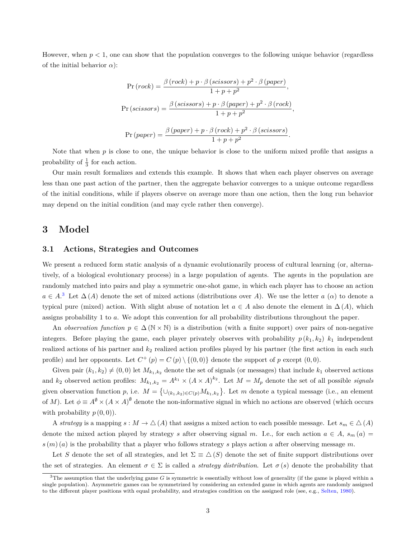However, when  $p < 1$ , one can show that the population converges to the following unique behavior (regardless of the initial behavior  $\alpha$ ):

$$
\Pr\left(rock\right) = \frac{\beta\left(rock\right) + p \cdot \beta\left(scissors\right) + p^2 \cdot \beta\left(paper\right)}{1 + p + p^2},
$$
\n
$$
\Pr\left(scissors\right) = \frac{\beta\left(scissors\right) + p \cdot \beta\left(paper\right) + p^2 \cdot \beta\left(rock\right)}{1 + p + p^2},
$$
\n
$$
\Pr\left(paper\right) = \frac{\beta\left(paper\right) + p \cdot \beta\left(rock\right) + p^2 \cdot \beta\left(scissors\right)}{1 + p + p^2}.
$$

Note that when *p* is close to one, the unique behavior is close to the uniform mixed profile that assigns a probability of  $\frac{1}{3}$  for each action.

Our main result formalizes and extends this example. It shows that when each player observes on average less than one past action of the partner, then the aggregate behavior converges to a unique outcome regardless of the initial conditions, while if players observe on average more than one action, then the long run behavior may depend on the initial condition (and may cycle rather then converge).

## **3 Model**

#### **3.1 Actions, Strategies and Outcomes**

We present a reduced form static analysis of a dynamic evolutionarily process of cultural learning (or, alternatively, of a biological evolutionary process) in a large population of agents. The agents in the population are randomly matched into pairs and play a symmetric one-shot game, in which each player has to choose an action  $a \in A$ <sup>3</sup>. Let  $\Delta(A)$  denote the set of mixed actions (distributions over *A*). We use the letter *a* (*α*) to denote a typical pure (mixed) action. With slight abuse of notation let  $a \in A$  also denote the element in  $\Delta(A)$ , which assigns probability 1 to *a*. We adopt this convention for all probability distributions throughout the paper.

An *observation function*  $p \in \Delta(N \times N)$  is a distribution (with a finite support) over pairs of non-negative integers. Before playing the game, each player privately observes with probability  $p(k_1, k_2)$   $k_1$  independent realized actions of his partner and *k*<sup>2</sup> realized action profiles played by his partner (the first action in each such profile) and her opponents. Let  $C^+(p) = C(p) \setminus \{(0,0)\}\)$  denote the support of *p* except  $(0,0)$ .

Given pair  $(k_1, k_2) \neq (0, 0)$  let  $M_{k_1, k_2}$  denote the set of signals (or messages) that include  $k_1$  observed actions and  $k_2$  observed action profiles:  $M_{k_1,k_2} = A^{k_1} \times (A \times A)^{k_2}$ . Let  $M = M_p$  denote the set of all possible *signals* given observation function *p*, i.e.  $M = \{ \cup_{(k_1,k_2) \in C(p)} M_{k_1,k_2} \}$ . Let *m* denote a typical message (i.e., an element of *M*). Let  $\phi \equiv A^{\emptyset} \times (A \times A)^{\emptyset}$  denote the non-informative signal in which no actions are observed (which occurs with probability  $p(0,0)$ ).

A *strategy* is a mapping  $s : M \to \Delta(A)$  that assigns a mixed action to each possible message. Let  $s_m \in \Delta(A)$ denote the mixed action played by strategy *s* after observing signal *m*. I.e., for each action  $a \in A$ ,  $s_m(a)$ *s* (*m*) (*a*) is the probability that a player who follows strategy *s* plays action *a* after observing message *m*.

Let *S* denote the set of all strategies, and let  $\Sigma \equiv \Delta(S)$  denote the set of finite support distributions over the set of strategies. An element  $\sigma \in \Sigma$  is called a *strategy distribution*. Let  $\sigma(s)$  denote the probability that

<sup>&</sup>lt;sup>3</sup>The assumption that the underlying game *G* is symmetric is essentially without loss of generality (if the game is played within a single population). Asymmetric games can be symmetrized by considering an extended game in which agents are randomly assigned to the different player positions with equal probability, and strategies condition on the assigned role (see, e.g., Selten, 1980).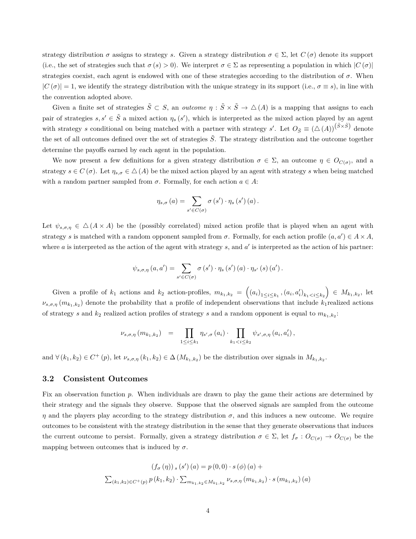strategy distribution  $\sigma$  assigns to strategy *s*. Given a strategy distribution  $\sigma \in \Sigma$ , let  $C(\sigma)$  denote its support (i.e., the set of strategies such that  $\sigma(s) > 0$ ). We interpret  $\sigma \in \Sigma$  as representing a population in which  $|C(\sigma)|$ strategies coexist, each agent is endowed with one of these strategies according to the distribution of  $\sigma$ . When  $|C(\sigma)| = 1$ , we identify the strategy distribution with the unique strategy in its support (i.e.,  $\sigma \equiv s$ ), in line with the convention adopted above.

Given a finite set of strategies  $\tilde{S} \subset S$ , an *outcome*  $\eta : \tilde{S} \times \tilde{S} \to \Delta(A)$  is a mapping that assigns to each pair of strategies  $s, s' \in \tilde{S}$  a mixed action  $\eta_s(s')$ , which is interpreted as the mixed action played by an agent with strategy *s* conditional on being matched with a partner with strategy *s'*. Let  $O_{\tilde{S}} \equiv (\triangle(A))^{(\tilde{S} \times \tilde{S})}$  denote the set of all outcomes defined over the set of strategies  $\tilde{S}$ . The strategy distribution and the outcome together determine the payoffs earned by each agent in the population.

We now present a few definitions for a given strategy distribution  $\sigma \in \Sigma$ , an outcome  $\eta \in O_{C(\sigma)}$ , and a strategy  $s \in C(\sigma)$ . Let  $\eta_{s,\sigma} \in \Delta(A)$  be the mixed action played by an agent with strategy *s* when being matched with a random partner sampled from  $\sigma$ . Formally, for each action  $a \in A$ :

$$
\eta_{s,\sigma}\left(a\right) = \sum_{s' \in C(\sigma)} \sigma\left(s'\right) \cdot \eta_s\left(s'\right)\left(a\right).
$$

Let  $\psi_{s,\sigma,\eta} \in \Delta(A \times A)$  be the (possibly correlated) mixed action profile that is played when an agent with strategy *s* is matched with a random opponent sampled from  $\sigma$ . Formally, for each action profile  $(a, a') \in A \times A$ , where  $a$  is interpreted as the action of the agent with strategy  $s$ , and  $a'$  is interpreted as the action of his partner:

$$
\psi_{s,\sigma,\eta}(a,a') = \sum_{s' \in C(\sigma)} \sigma(s') \cdot \eta_s(s') (a) \cdot \eta_{s'}(s) (a') .
$$

Given a profile of  $k_1$  actions and  $k_2$  action-profiles,  $m_{k_1,k_2} = ((a_i)_{1 \leq i \leq k_1}, (a_i, a'_i)_{k_1 < i \leq k_2}) \in M_{k_1,k_2}$ , let  $\nu_{s,\sigma,\eta}(m_{k_1,k_2})$  denote the probability that a profile of independent observations that include  $k_1$  realized actions of strategy *s* and  $k_2$  realized action profiles of strategy *s* and a random opponent is equal to  $m_{k_1,k_2}$ :

$$
\nu_{s,\sigma,\eta} (m_{k_1,k_2}) = \prod_{1 \leq i \leq k_1} \eta_{s',\sigma} (a_i) \cdot \prod_{k_1 < i \leq k_2} \psi_{s',\sigma,\eta} (a_i, a'_i) \,,
$$

and  $\forall (k_1, k_2) \in C^+(p)$ , let  $\nu_{s, \sigma, \eta}(k_1, k_2) \in \Delta(M_{k_1, k_2})$  be the distribution over signals in  $M_{k_1, k_2}$ .

#### **3.2 Consistent Outcomes**

Fix an observation function *p*. When individuals are drawn to play the game their actions are determined by their strategy and the signals they observe. Suppose that the observed signals are sampled from the outcome *η* and the players play according to the strategy distribution  $\sigma$ , and this induces a new outcome. We require outcomes to be consistent with the strategy distribution in the sense that they generate observations that induces the current outcome to persist. Formally, given a strategy distribution  $\sigma \in \Sigma$ , let  $f_{\sigma}: O_{C(\sigma)} \to O_{C(\sigma)}$  be the mapping between outcomes that is induced by  $\sigma$ .

$$
(f_{\sigma}(\eta))_{s}(s') (a) = p(0,0) \cdot s(\phi)(a) +
$$
  

$$
\sum_{(k_1,k_2) \in C^{+}(p)} p(k_1,k_2) \cdot \sum_{m_{k_1,k_2} \in M_{k_1,k_2}} \nu_{s,\sigma,\eta}(m_{k_1,k_2}) \cdot s(m_{k_1,k_2})(a)
$$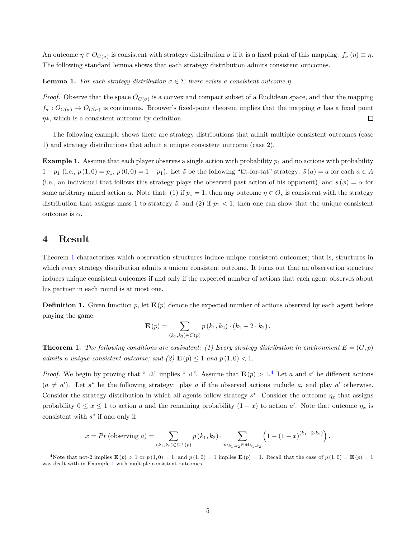An outcome  $\eta \in O_{C(\sigma)}$  is consistent with strategy distribution  $\sigma$  if it is a fixed point of this mapping:  $f_{\sigma}(\eta) \equiv \eta$ . The following standard lemma shows that each strategy distribution admits consistent outcomes.

**Lemma 1.** For each strategy distribution  $\sigma \in \Sigma$  there exists a consistent outcome *η*.

*Proof.* Observe that the space  $O_{C(\sigma)}$  is a convex and compact subset of a Euclidean space, and that the mapping  $f_{\sigma}: O_{C(\sigma)} \to O_{C(\sigma)}$  is continuous. Brouwer's fixed-point theorem implies that the mapping  $\sigma$  has a fixed point *η*∗, which is a consistent outcome by definition.  $\Box$ 

The following example shows there are strategy distributions that admit multiple consistent outcomes (case 1) and strategy distributions that admit a unique consistent outcome (case 2).

**Example 1.** Assume that each player observes a single action with probability  $p_1$  and no actions with probability  $1 - p_1$  (i.e.,  $p(1,0) = p_1$ ,  $p(0,0) = 1 - p_1$ ). Let  $\tilde{s}$  be the following "tit-for-tat" strategy:  $\tilde{s}(a) = a$  for each  $a \in A$ (i.e., an individual that follows this strategy plays the observed past action of his opponent), and  $s(\phi) = \alpha$  for some arbitrary mixed action  $\alpha$ . Note that: (1) if  $p_1 = 1$ , then any outcome  $\eta \in O_{\tilde{s}}$  is consistent with the strategy distribution that assigns mass 1 to strategy  $\tilde{s}$ ; and (2) if  $p_1 < 1$ , then one can show that the unique consistent outcome is *α*.

## **4 Result**

Theorem 1 characterizes which observation structures induce unique consistent outcomes; that is, structures in which every strategy distribution admits a unique consistent outcome. It turns out that an observation structure induces unique consistent outcomes if and only if the expected number of actions that each agent observes about his partner in each round is at most one.

**Definition 1.** Given function p, let  $\mathbf{E}(p)$  denote the expected number of actions observed by each agent before playing the game:

$$
\mathbf{E}(p) = \sum_{(k_1,k_2) \in C(p)} p(k_1,k_2) \cdot (k_1 + 2 \cdot k_2).
$$

**Theorem 1.** The following conditions are equivalent: (1) Every strategy distribution in environment  $E = (G, p)$ *admits a unique consistent outcome; and*  $(2)$   $\mathbf{E}(p) \leq 1$  *and*  $p(1,0) < 1$ *.* 

*Proof.* We begin by proving that " $\neg 2$ " implies " $\neg 1$ ". Assume that  $\mathbf{E}(p) > 1$ .<sup>4</sup> Let *a* and *a'* be different actions  $(a \neq a')$ . Let *s*<sup>\*</sup> be the following strategy: play *a* if the observed actions include *a*, and play *a'* otherwise. Consider the strategy distribution in which all agents follow strategy  $s^*$ . Consider the outcome  $\eta_x$  that assigns probability  $0 \le x \le 1$  to action *a* and the remaining probability  $(1-x)$  to action *a'*. Note that outcome  $\eta_x$  is consistent with *s* ∗ if and only if

$$
x = Pr \left(\text{observing } a\right) = \sum_{(k_1, k_2) \in C^+(p)} p(k_1, k_2) \cdot \sum_{m_{k_1, k_2} \in M_{k_1, k_2}} \left(1 - (1 - x)^{(k_1 + 2 \cdot k_2)}\right).
$$

<sup>&</sup>lt;sup>4</sup>Note that not-2 implies  $\mathbf{E}(p) > 1$  or  $p(1,0) = 1$ , and  $p(1,0) = 1$  implies  $\mathbf{E}(p) = 1$ . Recall that the case of  $p(1,0) = \mathbf{E}(p) = 1$ was dealt with in Example 1 with multiple consistent outcomes.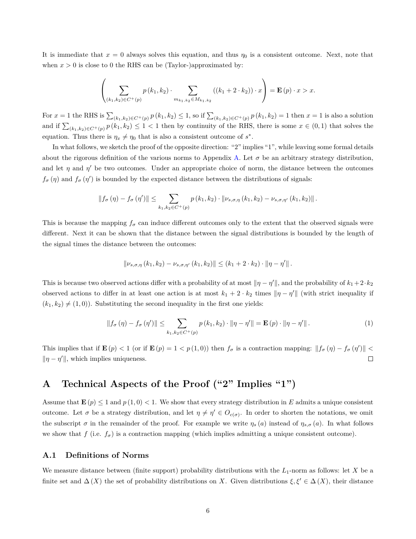It is immediate that  $x = 0$  always solves this equation, and thus  $\eta_0$  is a consistent outcome. Next, note that when  $x > 0$  is close to 0 the RHS can be (Taylor-)approximated by:

$$
\left(\sum_{(k_1,k_2)\in C^+(p)} p(k_1,k_2) \cdot \sum_{m_{k_1,k_2}\in M_{k_1,k_2}} ((k_1+2\cdot k_2))\cdot x\right) = \mathbf{E}(p)\cdot x > x.
$$

For  $x = 1$  the RHS is  $\sum_{(k_1, k_2) \in C^+(p)} p(k_1, k_2) \leq 1$ , so if  $\sum_{(k_1, k_2) \in C^+(p)} p(k_1, k_2) = 1$  then  $x = 1$  is also a solution and if  $\sum_{(k_1,k_2)\in C^+(p)} p(k_1,k_2) \leq 1 < 1$  then by continuity of the RHS, there is some  $x \in (0,1)$  that solves the equation. Thus there is  $\eta_x \neq \eta_0$  that is also a consistent outcome of  $s^*$ .

In what follows, we sketch the proof of the opposite direction: "2" implies "1", while leaving some formal details about the rigorous definition of the various norms to Appendix A. Let  $\sigma$  be an arbitrary strategy distribution, and let  $\eta$  and  $\eta'$  be two outcomes. Under an appropriate choice of norm, the distance between the outcomes  $f_{\sigma}(\eta)$  and  $f_{\sigma}(\eta')$  is bounded by the expected distance between the distributions of signals:

$$
||f_{\sigma}(\eta) - f_{\sigma}(\eta')|| \leq \sum_{k_1,k_2 \in C^+(p)} p(k_1,k_2) \cdot ||\nu_{s,\sigma,\eta}(k_1,k_2) - \nu_{s,\sigma,\eta'}(k_1,k_2)||.
$$

This is because the mapping  $f_{\sigma}$  can induce different outcomes only to the extent that the observed signals were different. Next it can be shown that the distance between the signal distributions is bounded by the length of the signal times the distance between the outcomes:

$$
\|\nu_{s,\sigma,\eta}\left(k_1,k_2\right)-\nu_{s,\sigma,\eta'}\left(k_1,k_2\right)\| \leq (k_1+2\cdot k_2)\cdot \|\eta-\eta'\|.
$$

This is because two observed actions differ with a probability of at most  $\|\eta - \eta'\|$ , and the probability of  $k_1 + 2 \cdot k_2$ observed actions to differ in at least one action is at most  $k_1 + 2 \cdot k_2$  times  $\|\eta - \eta'\|$  (with strict inequality if  $(k_1, k_2) \neq (1, 0)$ ). Substituting the second inequality in the first one yields:

$$
||f_{\sigma}(\eta) - f_{\sigma}(\eta')|| \leq \sum_{k_1, k_2 \in C^+(p)} p(k_1, k_2) \cdot ||\eta - \eta'|| = \mathbf{E}(p) \cdot ||\eta - \eta'||. \tag{1}
$$

This implies that if  $\mathbf{E}(p) < 1$  (or if  $\mathbf{E}(p) = 1 < p(1,0)$ ) then  $f_{\sigma}$  is a contraction mapping:  $||f_{\sigma}(\eta) - f_{\sigma}(\eta')|| <$  $\|\eta - \eta'\|$ , which implies uniqueness.  $\Box$ 

## **A Technical Aspects of the Proof ("2" Implies "1")**

Assume that  $\mathbf{E}(p) \leq 1$  and  $p(1,0) < 1$ . We show that every strategy distribution in E admits a unique consistent outcome. Let *σ* be a strategy distribution, and let  $η ≠ η' ∈ O<sub>c(σ)</sub>$ . In order to shorten the notations, we omit the subscript  $\sigma$  in the remainder of the proof. For example we write  $\eta_s(a)$  instead of  $\eta_{s,\sigma}(a)$ . In what follows we show that *f* (i.e.  $f_{\sigma}$ ) is a contraction mapping (which implies admitting a unique consistent outcome).

#### **A.1 Definitions of Norms**

We measure distance between (finite support) probability distributions with the  $L_1$ -norm as follows: let  $X$  be a finite set and  $\Delta(X)$  the set of probability distributions on *X*. Given distributions  $\xi, \xi' \in \Delta(X)$ , their distance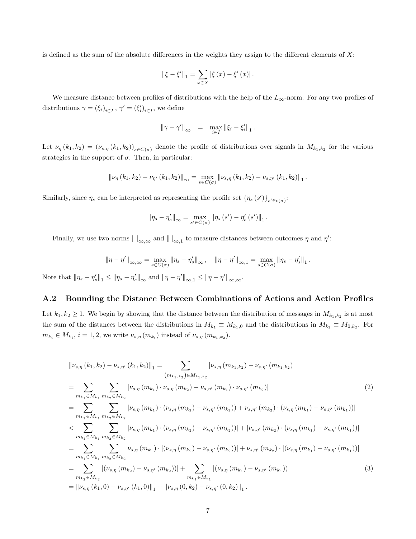is defined as the sum of the absolute differences in the weights they assign to the different elements of *X*:

$$
\left\|\xi-\xi'\right\|_{1}=\sum_{x\in X}\left|\xi\left(x\right)-\xi'\left(x\right)\right|.
$$

We measure distance between profiles of distributions with the help of the *L*∞-norm. For any two profiles of distributions  $\gamma = (\xi_i)_{i \in I}$ ,  $\gamma' = (\xi'_i)_{i \in I}$ , we define

$$
\|\gamma-\gamma'\|_\infty = \max_{i\in I} \|\xi_i-\xi'_i\|_1.
$$

Let  $\nu_{\eta}(k_1, k_2) = (\nu_{s,\eta}(k_1, k_2))_{s \in C(\sigma)}$  denote the profile of distributions over signals in  $M_{k_1, k_2}$  for the various strategies in the support of  $\sigma$ . Then, in particular:

$$
\|\nu_{\eta}(k_1,k_2)-\nu_{\eta'}(k_1,k_2)\|_{\infty}=\max_{s\in C(\sigma)}\|\nu_{s,\eta}(k_1,k_2)-\nu_{s,\eta'}(k_1,k_2)\|_1.
$$

Similarly, since  $\eta_s$  can be interpreted as representing the profile set  $\{\eta_s(s')\}_{s' \in c(\sigma)}$ :

$$
\left\|\eta_s-\eta'_s\right\|_{\infty}=\max_{s'\in C(\sigma)}\left\|\eta_s\left(s'\right)-\eta'_s\left(s'\right)\right\|_1.
$$

Finally, we use two norms  $\|\|_{\infty,\infty}$  and  $\|\|_{\infty,1}$  to measure distances between outcomes  $\eta$  and  $\eta'$ :

$$
\|\eta - \eta'\|_{\infty,\infty} = \max_{s \in C(\sigma)} \|\eta_s - \eta'_s\|_{\infty}, \quad \|\eta - \eta'\|_{\infty,1} = \max_{s \in C(\sigma)} \|\eta_s - \eta'_s\|_1.
$$

Note that  $\|\eta_s - \eta'_s\|_1 \le \|\eta_s - \eta'_s\|_{\infty}$  and  $\|\eta - \eta'\|_{\infty, 1} \le \|\eta - \eta'\|_{\infty, \infty}$ .

#### **A.2 Bounding the Distance Between Combinations of Actions and Action Profiles**

Let  $k_1, k_2 \geq 1$ . We begin by showing that the distance between the distribution of messages in  $M_{k_1, k_2}$  is at most the sum of the distances between the distributions in  $M_{k_1} \equiv M_{k_1,0}$  and the distributions in  $M_{k_2} \equiv M_{0,k_2}$ . For  $m_{k_i} \in M_{k_i}, i = 1, 2$ , we write  $\nu_{s,\eta}(m_{k_i})$  instead of  $\nu_{s,\eta}(m_{k_1,k_2})$ .

$$
\| \nu_{s,\eta} (k_1, k_2) - \nu_{s,\eta'} (k_1, k_2) \|_1 = \sum_{\{m_{k_1,k_2}\} \in M_{k_1,k_2}} |\nu_{s,\eta} (m_{k_1,k_2}) - \nu_{s,\eta'} (m_{k_1,k_2})|
$$
\n
$$
= \sum_{\{m_{k_1} \in M_{k_1} \ m_{k_2} \in M_{k_2}} |\nu_{s,\eta} (m_{k_1}) \cdot \nu_{s,\eta} (m_{k_2}) - \nu_{s,\eta'} (m_{k_1}) \cdot \nu_{s,\eta'} (m_{k_2})|
$$
\n
$$
= \sum_{\{m_{k_1} \in M_{k_1} \ m_{k_2} \in M_{k_2}} |\nu_{s,\eta} (m_{k_1}) \cdot (\nu_{s,\eta} (m_{k_2}) - \nu_{s,\eta'} (m_{k_2})) + \nu_{s,\eta'} (m_{k_2}) \cdot (\nu_{s,\eta} (m_{k_1}) - \nu_{s,\eta'} (m_{k_1}))|
$$
\n
$$
< \sum_{\{m_{k_1} \in M_{k_1} \ m_{k_2} \in M_{k_2}} |\nu_{s,\eta} (m_{k_1}) \cdot (\nu_{s,\eta} (m_{k_2}) - \nu_{s,\eta'} (m_{k_2}))| + |\nu_{s,\eta'} (m_{k_2}) \cdot (\nu_{s,\eta} (m_{k_1}) - \nu_{s,\eta'} (m_{k_1}))|
$$
\n
$$
= \sum_{\{m_{k_1} \in M_{k_1} \ m_{k_2} \in M_{k_2}} \sum_{\{m_{k_1} \in M_{k_2}\}} \nu_{s,\eta} (m_{k_1}) \cdot |(\nu_{s,\eta} (m_{k_2}) - \nu_{s,\eta'} (m_{k_2}))| + \nu_{s,\eta'} (m_{k_2}) \cdot |(\nu_{s,\eta} (m_{k_1}) - \nu_{s,\eta'} (m_{k_1}))|
$$
\n
$$
= \sum_{\{m_{k_2} \in M_{k_2}\}} |\nu_{s,\eta} (m_{k_2}) - \nu_{s,\eta'} (m_{k_2}))| + \sum_{\{m_{k_1} \in M_{k_1}\}} |\nu_{s,\eta} (m_{k_1}) - \nu_{s,\eta'} (m_{k_1}))|
$$
\n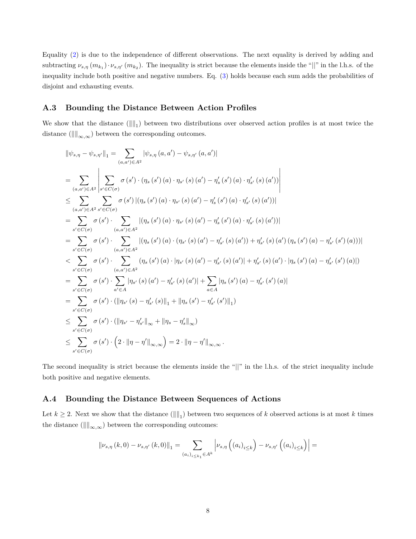Equality (2) is due to the independence of different observations. The next equality is derived by adding and subtracting  $\nu_{s,\eta}(m_{k_1}) \cdot \nu_{s,\eta'}(m_{k_2})$ . The inequality is strict because the elements inside the "||" in the l.h.s. of the inequality include both positive and negative numbers. Eq. (3) holds because each sum adds the probabilities of disjoint and exhausting events.

## **A.3 Bounding the Distance Between Action Profiles**

We show that the distance  $(\|\|_1)$  between two distributions over observed action profiles is at most twice the distance ( $\|\|_{\infty,\infty}$ ) between the corresponding outcomes.

$$
\begin{split}\n&\|\psi_{s,\eta}-\psi_{s,\eta'}\|_1 = \sum_{(a,a')\in A^2} |\psi_{s,\eta}(a,a') - \psi_{s,\eta'}(a,a')| \\
&= \sum_{(a,a')\in A^2} \left| \sum_{s'\in C(\sigma)} \sigma(s') \cdot (\eta_s(s') (a) \cdot \eta_{s'}(s) (a') - \eta_s'(s') (a) \cdot \eta_{s'}'(s) (a')) \right| \\
&\leq \sum_{(a,a')\in A^2} \sum_{s'\in C(\sigma)} \sigma(s') |(\eta_s(s') (a) \cdot \eta_{s'}(s) (a') - \eta_s'(s') (a) \cdot \eta_{s'}'(s) (a'))| \\
&= \sum_{s'\in C(\sigma)} \sigma(s') \cdot \sum_{(a,a')\in A^2} |(\eta_s(s') (a) \cdot \eta_{s'}(s) (a') - \eta_s'(s') (a) \cdot \eta_{s'}'(s) (a'))| \\
&= \sum_{s'\in C(\sigma)} \sigma(s') \cdot \sum_{(a,a')\in A^2} |(\eta_s(s') (a) \cdot (\eta_{s'}(s) (a') - \eta_{s'}'(s) (a')) + \eta_{s'}'(s) (a') (\eta_s(s') (a) - \eta_{s'}'(s') (a)))| \\
&< \sum_{s'\in C(\sigma)} \sigma(s') \cdot \sum_{(a,a')\in A^2} (\eta_s(s') (a) \cdot |\eta_{s'}(s) (a') - \eta_{s'}'(s) (a')| + \eta_{s'}'(s) (a') \cdot |\eta_s(s') (a) - \eta_{s'}'(s') (a)|) \\
&= \sum_{s'\in C(\sigma)} \sigma(s') \cdot \sum_{a'\in A} |\eta_{s'}(s) (a') - \eta_{s'}'(s) (a')| + \sum_{a\in A} |\eta_s(s') (a) - \eta_{s'}'(s') (a)| \\
&\leq \sum_{s'\in C(\sigma)} \sigma(s') \cdot (||\eta_{s'} - \eta_{s'}'||_{\infty} + ||\eta_s - \eta_{s}'||_{\infty}) \\
&\leq \sum_{s'\in C(\sigma)} \sigma(s') \cdot (2 \cdot ||\eta - \eta'||_{\infty,\infty}) = 2 \cdot ||\eta - \eta'||_{\infty,\infty} .\n\end{split}
$$

The second inequality is strict because the elements inside the "||" in the l.h.s. of the strict inequality include both positive and negative elements.

#### **A.4 Bounding the Distance Between Sequences of Actions**

Let  $k \geq 2$ . Next we show that the distance  $(\|\|_1)$  between two sequences of *k* observed actions is at most *k* times the distance  $(\|\|_{\infty,\infty})$  between the corresponding outcomes:

$$
\|\nu_{s,\eta}(k,0)-\nu_{s,\eta'}(k,0)\|_1 = \sum_{(a_i)_{i\leq k_1}\in A^k} \left|\nu_{s,\eta}\left((a_i)_{i\leq k}\right)-\nu_{s,\eta'}\left((a_i)_{i\leq k}\right)\right| =
$$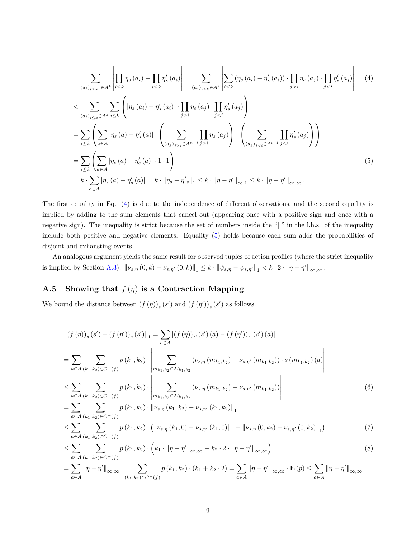$$
= \sum_{(a_{i})_{i\leq k_{1}} \in A^{k}} \left| \prod_{i\leq k} \eta_{s}(a_{i}) - \prod_{i\leq k} \eta'_{s}(a_{i}) \right| = \sum_{(a_{i})_{i\leq k} \in A^{k}} \left| \sum_{i\leq k} (\eta_{s}(a_{i}) - \eta'_{s}(a_{i})) \cdot \prod_{j>i} \eta_{s}(a_{j}) \cdot \prod_{j  

$$
< \sum_{(a_{i})_{i\leq k} \in A^{k}} \sum_{i\leq k} \left( |\eta_{s}(a_{i}) - \eta'_{s}(a_{i})| \cdot \prod_{j>i} \eta_{s}(a_{j}) \cdot \prod_{j  

$$
= \sum_{i\leq k} \left( \sum_{a\in A} |\eta_{s}(a) - \eta'_{s}(a)| \cdot \left( \sum_{(a_{j})_{j>i} \in A^{n-i}} \prod_{j>i} \eta_{s}(a_{j}) \right) \cdot \left( \sum_{(a_{j})_{j  

$$
= \sum_{i\leq k} \left( \sum_{a\in A} |\eta_{s}(a) - \eta'_{s}(a)| \cdot 1 \cdot 1 \right)
$$
  

$$
= k \cdot \sum_{a\in A} |\eta_{s}(a) - \eta'_{s}(a)| = k \cdot \|\eta_{s} - \eta'_{s}\|_{1} \leq k \cdot \|\eta - \eta'\|_{\infty,1} \leq k \cdot \|\eta - \eta'\|_{\infty,\infty}.
$$
 (5)
$$
$$
$$

The first equality in Eq. (4) is due to the independence of different observations, and the second equality is implied by adding to the sum elements that cancel out (appearing once with a positive sign and once with a negative sign). The inequality is strict because the set of numbers inside the "||" in the l.h.s. of the inequality include both positive and negative elements. Equality (5) holds because each sum adds the probabilities of disjoint and exhausting events.

An analogous argument yields the same result for observed tuples of action profiles (where the strict inequality is implied by Section A.3):  $\|\nu_{s,\eta}(0,k) - \nu_{s,\eta'}(0,k)\|_1 \leq k \cdot \|\psi_{s,\eta} - \psi_{s,\eta'}\|_1 < k \cdot 2 \cdot \|\eta - \eta'\|_{\infty,\infty}$ .

## **A.5 Showing that** *f* (*η*) **is a Contraction Mapping**

 $(k_1, k_2) ∈ C<sup>+</sup>(f)$ 

*a*∈*A*

We bound the distance between  $(f(\eta))_s(s')$  and  $(f(\eta'))_s(s')$  as follows.

$$
\| (f(\eta))_s (s') - (f(\eta'))_s (s') \|_1 = \sum_{a \in A} |(f(\eta))_s (s') (a) - (f(\eta'))_s (s') (a)|
$$
  
\n
$$
= \sum_{a \in A} \sum_{(k_1,k_2) \in C^+(f)} p(k_1,k_2) \cdot \left| \sum_{m_{k_1,k_2} \in M_{k_1,k_2}} (\nu_{s,\eta} (m_{k_1,k_2}) - \nu_{s,\eta'} (m_{k_1,k_2})) \cdot s(m_{k_1,k_2}) (a) \right|
$$
  
\n
$$
\leq \sum_{a \in A} \sum_{(k_1,k_2) \in C^+(f)} p(k_1,k_2) \cdot \left| \sum_{m_{k_1,k_2} \in M_{k_1,k_2}} (\nu_{s,\eta} (m_{k_1,k_2}) - \nu_{s,\eta'} (m_{k_1,k_2})) \right|
$$
  
\n
$$
= \sum_{a \in A} \sum_{(k_1,k_2) \in C^+(f)} p(k_1,k_2) \cdot \left| \nu_{s,\eta} (k_1,k_2) - \nu_{s,\eta'} (k_1,k_2) \right|_1
$$
  
\n
$$
\leq \sum_{a \in A} \sum_{(k_1,k_2) \in C^+(f)} p(k_1,k_2) \cdot (\left| \nu_{s,\eta} (k_1,0) - \nu_{s,\eta'} (k_1,0) \right|_1 + \left| \nu_{s,\eta} (0,k_2) - \nu_{s,\eta'} (0,k_2) \right|_1)
$$
  
\n
$$
\leq \sum_{a \in A} \sum_{(k_1,k_2) \in C^+(f)} p(k_1,k_2) \cdot \left( k_1 \cdot \left| \eta - \eta' \right|_{\infty,\infty} + k_2 \cdot 2 \cdot \left| \eta - \eta' \right|_{\infty,\infty})
$$
  
\n
$$
= \sum ||\eta - \eta'||_{\infty,\infty} \cdot \sum_{a \in A} p(k_1,k_2) \cdot (k_1 + k_2 \cdot 2) = \sum ||\eta - \eta'||_{\infty,\infty} \cdot \mathbf{E}(p) \leq \sum ||\eta - \eta'||_{\infty,\infty}.
$$
 (8)

*a*∈*A*

*a*∈*A*